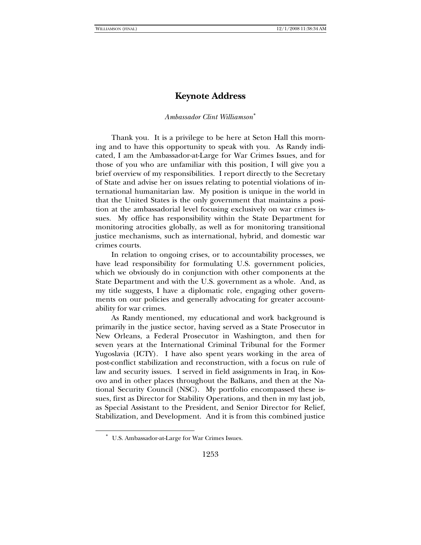# **Keynote Address**

### *Ambassador Clint Williamson*[∗](#page-0-0)

Thank you. It is a privilege to be here at Seton Hall this morning and to have this opportunity to speak with you. As Randy indicated, I am the Ambassador-at-Large for War Crimes Issues, and for those of you who are unfamiliar with this position, I will give you a brief overview of my responsibilities. I report directly to the Secretary of State and advise her on issues relating to potential violations of international humanitarian law. My position is unique in the world in that the United States is the only government that maintains a position at the ambassadorial level focusing exclusively on war crimes issues. My office has responsibility within the State Department for monitoring atrocities globally, as well as for monitoring transitional justice mechanisms, such as international, hybrid, and domestic war crimes courts.

In relation to ongoing crises, or to accountability processes, we have lead responsibility for formulating U.S. government policies, which we obviously do in conjunction with other components at the State Department and with the U.S. government as a whole. And, as my title suggests, I have a diplomatic role, engaging other governments on our policies and generally advocating for greater accountability for war crimes.

As Randy mentioned, my educational and work background is primarily in the justice sector, having served as a State Prosecutor in New Orleans, a Federal Prosecutor in Washington, and then for seven years at the International Criminal Tribunal for the Former Yugoslavia (ICTY). I have also spent years working in the area of post-conflict stabilization and reconstruction, with a focus on rule of law and security issues. I served in field assignments in Iraq, in Kosovo and in other places throughout the Balkans, and then at the National Security Council (NSC). My portfolio encompassed these issues, first as Director for Stability Operations, and then in my last job, as Special Assistant to the President, and Senior Director for Relief, Stabilization, and Development. And it is from this combined justice

<span id="page-0-0"></span>l

<sup>∗</sup> U.S. Ambassador-at-Large for War Crimes Issues.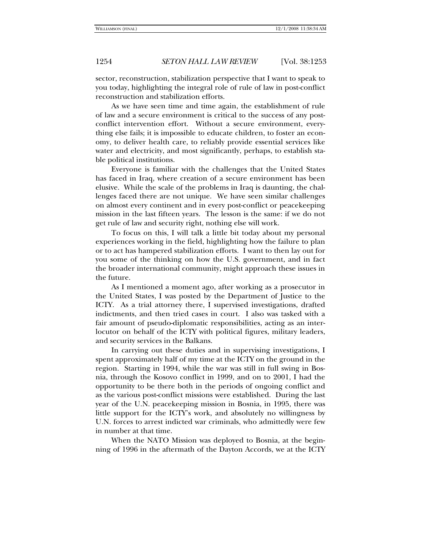sector, reconstruction, stabilization perspective that I want to speak to you today, highlighting the integral role of rule of law in post-conflict reconstruction and stabilization efforts.

As we have seen time and time again, the establishment of rule of law and a secure environment is critical to the success of any postconflict intervention effort. Without a secure environment, everything else fails; it is impossible to educate children, to foster an economy, to deliver health care, to reliably provide essential services like water and electricity, and most significantly, perhaps, to establish stable political institutions.

Everyone is familiar with the challenges that the United States has faced in Iraq, where creation of a secure environment has been elusive. While the scale of the problems in Iraq is daunting, the challenges faced there are not unique. We have seen similar challenges on almost every continent and in every post-conflict or peacekeeping mission in the last fifteen years. The lesson is the same: if we do not get rule of law and security right, nothing else will work.

To focus on this, I will talk a little bit today about my personal experiences working in the field, highlighting how the failure to plan or to act has hampered stabilization efforts. I want to then lay out for you some of the thinking on how the U.S. government, and in fact the broader international community, might approach these issues in the future.

As I mentioned a moment ago, after working as a prosecutor in the United States, I was posted by the Department of Justice to the ICTY. As a trial attorney there, I supervised investigations, drafted indictments, and then tried cases in court. I also was tasked with a fair amount of pseudo-diplomatic responsibilities, acting as an interlocutor on behalf of the ICTY with political figures, military leaders, and security services in the Balkans.

In carrying out these duties and in supervising investigations, I spent approximately half of my time at the ICTY on the ground in the region. Starting in 1994, while the war was still in full swing in Bosnia, through the Kosovo conflict in 1999, and on to 2001, I had the opportunity to be there both in the periods of ongoing conflict and as the various post-conflict missions were established. During the last year of the U.N. peacekeeping mission in Bosnia, in 1995, there was little support for the ICTY's work, and absolutely no willingness by U.N. forces to arrest indicted war criminals, who admittedly were few in number at that time.

When the NATO Mission was deployed to Bosnia, at the beginning of 1996 in the aftermath of the Dayton Accords, we at the ICTY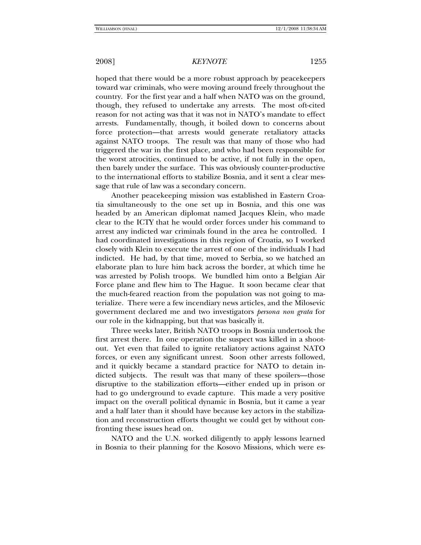hoped that there would be a more robust approach by peacekeepers toward war criminals, who were moving around freely throughout the country. For the first year and a half when NATO was on the ground, though, they refused to undertake any arrests. The most oft-cited reason for not acting was that it was not in NATO's mandate to effect arrests. Fundamentally, though, it boiled down to concerns about force protection—that arrests would generate retaliatory attacks against NATO troops. The result was that many of those who had triggered the war in the first place, and who had been responsible for the worst atrocities, continued to be active, if not fully in the open, then barely under the surface. This was obviously counter-productive to the international efforts to stabilize Bosnia, and it sent a clear message that rule of law was a secondary concern.

Another peacekeeping mission was established in Eastern Croatia simultaneously to the one set up in Bosnia, and this one was headed by an American diplomat named Jacques Klein, who made clear to the ICTY that he would order forces under his command to arrest any indicted war criminals found in the area he controlled. I had coordinated investigations in this region of Croatia, so I worked closely with Klein to execute the arrest of one of the individuals I had indicted. He had, by that time, moved to Serbia, so we hatched an elaborate plan to lure him back across the border, at which time he was arrested by Polish troops. We bundled him onto a Belgian Air Force plane and flew him to The Hague. It soon became clear that the much-feared reaction from the population was not going to materialize. There were a few incendiary news articles, and the Milosevic government declared me and two investigators *persona non grata* for our role in the kidnapping, but that was basically it.

Three weeks later, British NATO troops in Bosnia undertook the first arrest there. In one operation the suspect was killed in a shootout. Yet even that failed to ignite retaliatory actions against NATO forces, or even any significant unrest. Soon other arrests followed, and it quickly became a standard practice for NATO to detain indicted subjects. The result was that many of these spoilers—those disruptive to the stabilization efforts—either ended up in prison or had to go underground to evade capture. This made a very positive impact on the overall political dynamic in Bosnia, but it came a year and a half later than it should have because key actors in the stabilization and reconstruction efforts thought we could get by without confronting these issues head on.

NATO and the U.N. worked diligently to apply lessons learned in Bosnia to their planning for the Kosovo Missions, which were es-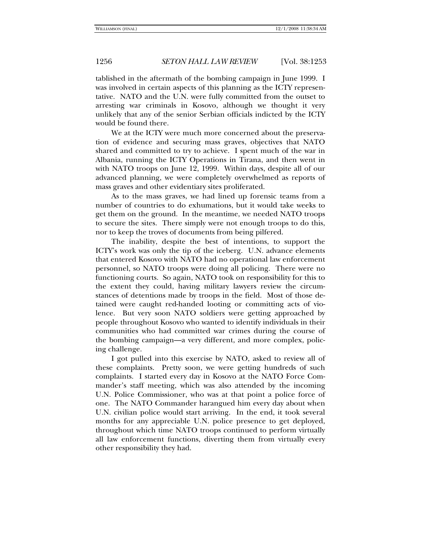tablished in the aftermath of the bombing campaign in June 1999. I was involved in certain aspects of this planning as the ICTY representative. NATO and the U.N. were fully committed from the outset to arresting war criminals in Kosovo, although we thought it very unlikely that any of the senior Serbian officials indicted by the ICTY would be found there.

We at the ICTY were much more concerned about the preservation of evidence and securing mass graves, objectives that NATO shared and committed to try to achieve. I spent much of the war in Albania, running the ICTY Operations in Tirana, and then went in with NATO troops on June 12, 1999. Within days, despite all of our advanced planning, we were completely overwhelmed as reports of mass graves and other evidentiary sites proliferated.

As to the mass graves, we had lined up forensic teams from a number of countries to do exhumations, but it would take weeks to get them on the ground. In the meantime, we needed NATO troops to secure the sites. There simply were not enough troops to do this, nor to keep the troves of documents from being pilfered.

The inability, despite the best of intentions, to support the ICTY's work was only the tip of the iceberg. U.N. advance elements that entered Kosovo with NATO had no operational law enforcement personnel, so NATO troops were doing all policing. There were no functioning courts. So again, NATO took on responsibility for this to the extent they could, having military lawyers review the circumstances of detentions made by troops in the field. Most of those detained were caught red-handed looting or committing acts of violence. But very soon NATO soldiers were getting approached by people throughout Kosovo who wanted to identify individuals in their communities who had committed war crimes during the course of the bombing campaign—a very different, and more complex, policing challenge.

I got pulled into this exercise by NATO, asked to review all of these complaints. Pretty soon, we were getting hundreds of such complaints. I started every day in Kosovo at the NATO Force Commander's staff meeting, which was also attended by the incoming U.N. Police Commissioner, who was at that point a police force of one. The NATO Commander harangued him every day about when U.N. civilian police would start arriving. In the end, it took several months for any appreciable U.N. police presence to get deployed, throughout which time NATO troops continued to perform virtually all law enforcement functions, diverting them from virtually every other responsibility they had.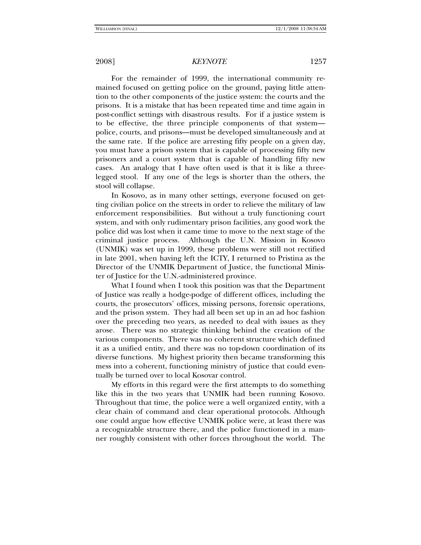For the remainder of 1999, the international community remained focused on getting police on the ground, paying little attention to the other components of the justice system: the courts and the prisons. It is a mistake that has been repeated time and time again in post-conflict settings with disastrous results. For if a justice system is to be effective, the three principle components of that system police, courts, and prisons—must be developed simultaneously and at the same rate. If the police are arresting fifty people on a given day, you must have a prison system that is capable of processing fifty new prisoners and a court system that is capable of handling fifty new cases. An analogy that I have often used is that it is like a threelegged stool. If any one of the legs is shorter than the others, the stool will collapse.

In Kosovo, as in many other settings, everyone focused on getting civilian police on the streets in order to relieve the military of law enforcement responsibilities. But without a truly functioning court system, and with only rudimentary prison facilities, any good work the police did was lost when it came time to move to the next stage of the criminal justice process. Although the U.N. Mission in Kosovo (UNMIK) was set up in 1999, these problems were still not rectified in late 2001, when having left the ICTY, I returned to Pristina as the Director of the UNMIK Department of Justice, the functional Minister of Justice for the U.N.-administered province.

What I found when I took this position was that the Department of Justice was really a hodge-podge of different offices, including the courts, the prosecutors' offices, missing persons, forensic operations, and the prison system. They had all been set up in an ad hoc fashion over the preceding two years, as needed to deal with issues as they arose. There was no strategic thinking behind the creation of the various components. There was no coherent structure which defined it as a unified entity, and there was no top-down coordination of its diverse functions. My highest priority then became transforming this mess into a coherent, functioning ministry of justice that could eventually be turned over to local Kosovar control.

My efforts in this regard were the first attempts to do something like this in the two years that UNMIK had been running Kosovo. Throughout that time, the police were a well organized entity, with a clear chain of command and clear operational protocols. Although one could argue how effective UNMIK police were, at least there was a recognizable structure there, and the police functioned in a manner roughly consistent with other forces throughout the world. The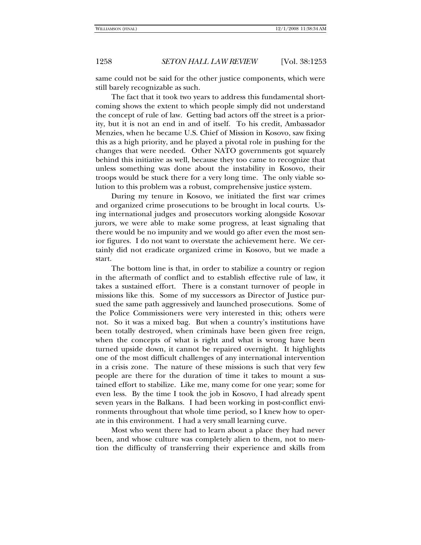same could not be said for the other justice components, which were still barely recognizable as such.

The fact that it took two years to address this fundamental shortcoming shows the extent to which people simply did not understand the concept of rule of law. Getting bad actors off the street is a priority, but it is not an end in and of itself. To his credit, Ambassador Menzies, when he became U.S. Chief of Mission in Kosovo, saw fixing this as a high priority, and he played a pivotal role in pushing for the changes that were needed. Other NATO governments got squarely behind this initiative as well, because they too came to recognize that unless something was done about the instability in Kosovo, their troops would be stuck there for a very long time. The only viable solution to this problem was a robust, comprehensive justice system.

During my tenure in Kosovo, we initiated the first war crimes and organized crime prosecutions to be brought in local courts. Using international judges and prosecutors working alongside Kosovar jurors, we were able to make some progress, at least signaling that there would be no impunity and we would go after even the most senior figures. I do not want to overstate the achievement here. We certainly did not eradicate organized crime in Kosovo, but we made a start.

The bottom line is that, in order to stabilize a country or region in the aftermath of conflict and to establish effective rule of law, it takes a sustained effort. There is a constant turnover of people in missions like this. Some of my successors as Director of Justice pursued the same path aggressively and launched prosecutions. Some of the Police Commissioners were very interested in this; others were not. So it was a mixed bag. But when a country's institutions have been totally destroyed, when criminals have been given free reign, when the concepts of what is right and what is wrong have been turned upside down, it cannot be repaired overnight. It highlights one of the most difficult challenges of any international intervention in a crisis zone. The nature of these missions is such that very few people are there for the duration of time it takes to mount a sustained effort to stabilize. Like me, many come for one year; some for even less. By the time I took the job in Kosovo, I had already spent seven years in the Balkans. I had been working in post-conflict environments throughout that whole time period, so I knew how to operate in this environment. I had a very small learning curve.

Most who went there had to learn about a place they had never been, and whose culture was completely alien to them, not to mention the difficulty of transferring their experience and skills from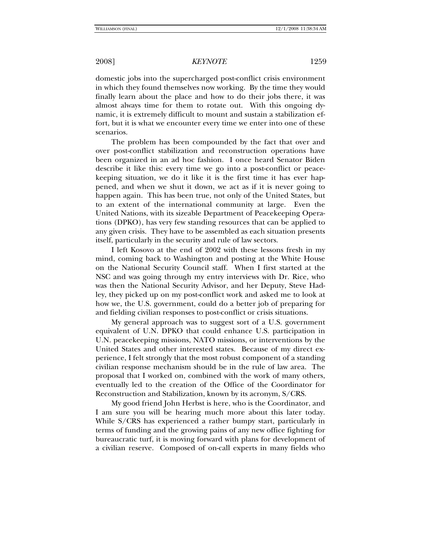domestic jobs into the supercharged post-conflict crisis environment in which they found themselves now working. By the time they would finally learn about the place and how to do their jobs there, it was almost always time for them to rotate out. With this ongoing dynamic, it is extremely difficult to mount and sustain a stabilization effort, but it is what we encounter every time we enter into one of these scenarios.

The problem has been compounded by the fact that over and over post-conflict stabilization and reconstruction operations have been organized in an ad hoc fashion. I once heard Senator Biden describe it like this: every time we go into a post-conflict or peacekeeping situation, we do it like it is the first time it has ever happened, and when we shut it down, we act as if it is never going to happen again. This has been true, not only of the United States, but to an extent of the international community at large. Even the United Nations, with its sizeable Department of Peacekeeping Operations (DPKO), has very few standing resources that can be applied to any given crisis. They have to be assembled as each situation presents itself, particularly in the security and rule of law sectors.

I left Kosovo at the end of 2002 with these lessons fresh in my mind, coming back to Washington and posting at the White House on the National Security Council staff. When I first started at the NSC and was going through my entry interviews with Dr. Rice, who was then the National Security Advisor, and her Deputy, Steve Hadley, they picked up on my post-conflict work and asked me to look at how we, the U.S. government, could do a better job of preparing for and fielding civilian responses to post-conflict or crisis situations.

My general approach was to suggest sort of a U.S. government equivalent of U.N. DPKO that could enhance U.S. participation in U.N. peacekeeping missions, NATO missions, or interventions by the United States and other interested states. Because of my direct experience, I felt strongly that the most robust component of a standing civilian response mechanism should be in the rule of law area. The proposal that I worked on, combined with the work of many others, eventually led to the creation of the Office of the Coordinator for Reconstruction and Stabilization, known by its acronym, S/CRS.

My good friend John Herbst is here, who is the Coordinator, and I am sure you will be hearing much more about this later today. While S/CRS has experienced a rather bumpy start, particularly in terms of funding and the growing pains of any new office fighting for bureaucratic turf, it is moving forward with plans for development of a civilian reserve. Composed of on-call experts in many fields who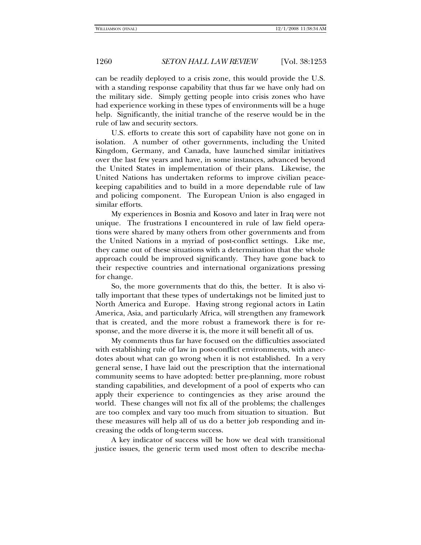can be readily deployed to a crisis zone, this would provide the U.S. with a standing response capability that thus far we have only had on the military side. Simply getting people into crisis zones who have had experience working in these types of environments will be a huge help. Significantly, the initial tranche of the reserve would be in the rule of law and security sectors.

U.S. efforts to create this sort of capability have not gone on in isolation. A number of other governments, including the United Kingdom, Germany, and Canada, have launched similar initiatives over the last few years and have, in some instances, advanced beyond the United States in implementation of their plans. Likewise, the United Nations has undertaken reforms to improve civilian peacekeeping capabilities and to build in a more dependable rule of law and policing component. The European Union is also engaged in similar efforts.

My experiences in Bosnia and Kosovo and later in Iraq were not unique. The frustrations I encountered in rule of law field operations were shared by many others from other governments and from the United Nations in a myriad of post-conflict settings. Like me, they came out of these situations with a determination that the whole approach could be improved significantly. They have gone back to their respective countries and international organizations pressing for change.

So, the more governments that do this, the better. It is also vitally important that these types of undertakings not be limited just to North America and Europe. Having strong regional actors in Latin America, Asia, and particularly Africa, will strengthen any framework that is created, and the more robust a framework there is for response, and the more diverse it is, the more it will benefit all of us.

My comments thus far have focused on the difficulties associated with establishing rule of law in post-conflict environments, with anecdotes about what can go wrong when it is not established. In a very general sense, I have laid out the prescription that the international community seems to have adopted: better pre-planning, more robust standing capabilities, and development of a pool of experts who can apply their experience to contingencies as they arise around the world. These changes will not fix all of the problems; the challenges are too complex and vary too much from situation to situation. But these measures will help all of us do a better job responding and increasing the odds of long-term success.

A key indicator of success will be how we deal with transitional justice issues, the generic term used most often to describe mecha-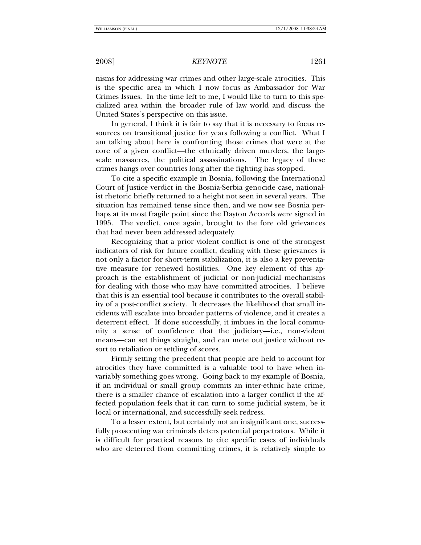nisms for addressing war crimes and other large-scale atrocities. This is the specific area in which I now focus as Ambassador for War Crimes Issues. In the time left to me, I would like to turn to this specialized area within the broader rule of law world and discuss the United States's perspective on this issue.

In general, I think it is fair to say that it is necessary to focus resources on transitional justice for years following a conflict. What I am talking about here is confronting those crimes that were at the core of a given conflict—the ethnically driven murders, the largescale massacres, the political assassinations. The legacy of these crimes hangs over countries long after the fighting has stopped.

To cite a specific example in Bosnia, following the International Court of Justice verdict in the Bosnia-Serbia genocide case, nationalist rhetoric briefly returned to a height not seen in several years. The situation has remained tense since then, and we now see Bosnia perhaps at its most fragile point since the Dayton Accords were signed in 1995. The verdict, once again, brought to the fore old grievances that had never been addressed adequately.

Recognizing that a prior violent conflict is one of the strongest indicators of risk for future conflict, dealing with these grievances is not only a factor for short-term stabilization, it is also a key preventative measure for renewed hostilities. One key element of this approach is the establishment of judicial or non-judicial mechanisms for dealing with those who may have committed atrocities. I believe that this is an essential tool because it contributes to the overall stability of a post-conflict society. It decreases the likelihood that small incidents will escalate into broader patterns of violence, and it creates a deterrent effect. If done successfully, it imbues in the local community a sense of confidence that the judiciary—i.e., non-violent means—can set things straight, and can mete out justice without resort to retaliation or settling of scores.

Firmly setting the precedent that people are held to account for atrocities they have committed is a valuable tool to have when invariably something goes wrong. Going back to my example of Bosnia, if an individual or small group commits an inter-ethnic hate crime, there is a smaller chance of escalation into a larger conflict if the affected population feels that it can turn to some judicial system, be it local or international, and successfully seek redress.

To a lesser extent, but certainly not an insignificant one, successfully prosecuting war criminals deters potential perpetrators. While it is difficult for practical reasons to cite specific cases of individuals who are deterred from committing crimes, it is relatively simple to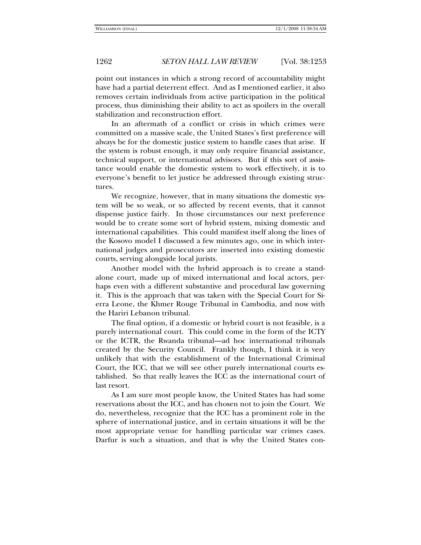point out instances in which a strong record of accountability might have had a partial deterrent effect. And as I mentioned earlier, it also removes certain individuals from active participation in the political process, thus diminishing their ability to act as spoilers in the overall stabilization and reconstruction effort.

In an aftermath of a conflict or crisis in which crimes were committed on a massive scale, the United States's first preference will always be for the domestic justice system to handle cases that arise. If the system is robust enough, it may only require financial assistance, technical support, or international advisors. But if this sort of assistance would enable the domestic system to work effectively, it is to everyone's benefit to let justice be addressed through existing structures.

We recognize, however, that in many situations the domestic system will be so weak, or so affected by recent events, that it cannot dispense justice fairly. In those circumstances our next preference would be to create some sort of hybrid system, mixing domestic and international capabilities. This could manifest itself along the lines of the Kosovo model I discussed a few minutes ago, one in which international judges and prosecutors are inserted into existing domestic courts, serving alongside local jurists.

Another model with the hybrid approach is to create a standalone court, made up of mixed international and local actors, perhaps even with a different substantive and procedural law governing it. This is the approach that was taken with the Special Court for Sierra Leone, the Khmer Rouge Tribunal in Cambodia, and now with the Hariri Lebanon tribunal.

The final option, if a domestic or hybrid court is not feasible, is a purely international court. This could come in the form of the ICTY or the ICTR, the Rwanda tribunal—ad hoc international tribunals created by the Security Council. Frankly though, I think it is very unlikely that with the establishment of the International Criminal Court, the ICC, that we will see other purely international courts established. So that really leaves the ICC as the international court of last resort.

As I am sure most people know, the United States has had some reservations about the ICC, and has chosen not to join the Court. We do, nevertheless, recognize that the ICC has a prominent role in the sphere of international justice, and in certain situations it will be the most appropriate venue for handling particular war crimes cases. Darfur is such a situation, and that is why the United States con-